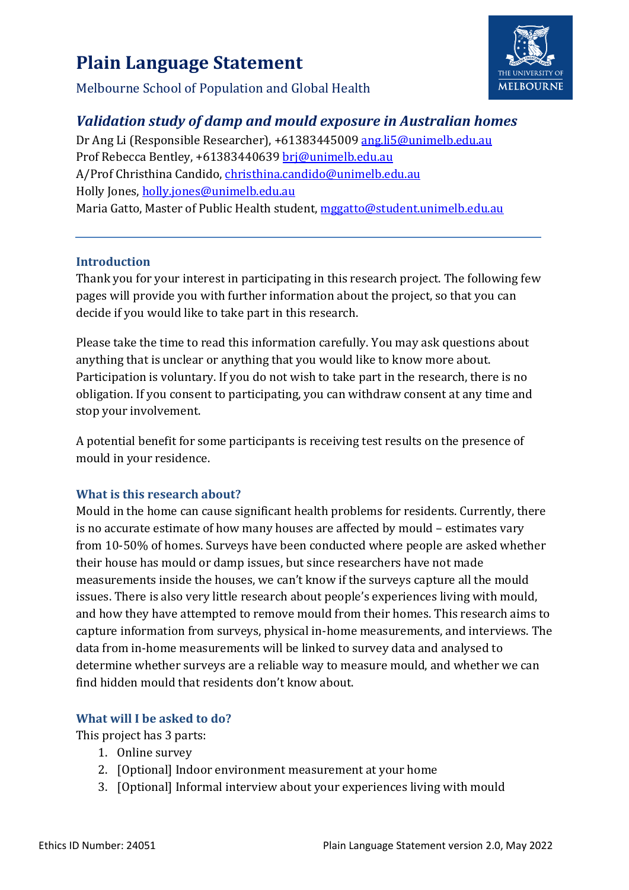# **Plain Language Statement**



Melbourne School of Population and Global Health

# *Validation study of damp and mould exposure in Australian homes*

Dr Ang Li (Responsible Researcher), +61383445009 [ang.li5@unimelb.edu.au](mailto:ang.li5@unimelb.edu.au)  Prof Rebecca Bentley, +61383440639 [brj@unimelb.edu.au](mailto:brj@unimelb.edu.au) A/Prof Christhina Candido, christhina.candido@unimelb.edu.au Holly Jones[, holly.jones@unimelb.edu.au](mailto:holly.jones@unimelb.edu.au) Maria Gatto, Master of Public Health student, [mggatto@student.unimelb.edu.au](mailto:mggatto@student.unimelb.edu.au) 

## **Introduction**

Thank you for your interest in participating in this research project. The following few pages will provide you with further information about the project, so that you can decide if you would like to take part in this research.

Please take the time to read this information carefully. You may ask questions about anything that is unclear or anything that you would like to know more about. Participation is voluntary. If you do not wish to take part in the research, there is no obligation. If you consent to participating, you can withdraw consent at any time and stop your involvement.

A potential benefit for some participants is receiving test results on the presence of mould in your residence.

# **What is this research about?**

Mould in the home can cause significant health problems for residents. Currently, there is no accurate estimate of how many houses are affected by mould – estimates vary from 10-50% of homes. Surveys have been conducted where people are asked whether their house has mould or damp issues, but since researchers have not made measurements inside the houses, we can't know if the surveys capture all the mould issues. There is also very little research about people's experiences living with mould, and how they have attempted to remove mould from their homes. This research aims to capture information from surveys, physical in-home measurements, and interviews. The data from in-home measurements will be linked to survey data and analysed to determine whether surveys are a reliable way to measure mould, and whether we can find hidden mould that residents don't know about.

# **What will I be asked to do?**

This project has 3 parts:

- 1. Online survey
- 2. [Optional] Indoor environment measurement at your home
- 3. [Optional] Informal interview about your experiences living with mould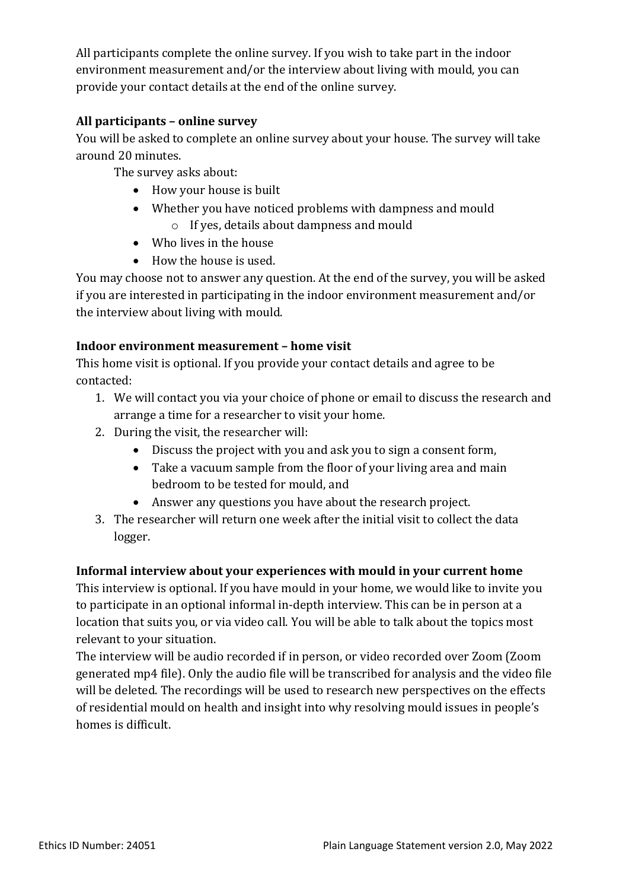All participants complete the online survey. If you wish to take part in the indoor environment measurement and/or the interview about living with mould, you can provide your contact details at the end of the online survey.

# **All participants – online survey**

You will be asked to complete an online survey about your house. The survey will take around 20 minutes.

The survey asks about:

- How your house is built
- Whether you have noticed problems with dampness and mould o If yes, details about dampness and mould
- Who lives in the house
- How the house is used.

You may choose not to answer any question. At the end of the survey, you will be asked if you are interested in participating in the indoor environment measurement and/or the interview about living with mould.

## **Indoor environment measurement – home visit**

This home visit is optional. If you provide your contact details and agree to be contacted:

- 1. We will contact you via your choice of phone or email to discuss the research and arrange a time for a researcher to visit your home.
- 2. During the visit, the researcher will:
	- Discuss the project with you and ask you to sign a consent form,
	- Take a vacuum sample from the floor of your living area and main bedroom to be tested for mould, and
	- Answer any questions you have about the research project.
- 3. The researcher will return one week after the initial visit to collect the data logger.

# **Informal interview about your experiences with mould in your current home**

This interview is optional. If you have mould in your home, we would like to invite you to participate in an optional informal in-depth interview. This can be in person at a location that suits you, or via video call. You will be able to talk about the topics most relevant to your situation.

The interview will be audio recorded if in person, or video recorded over Zoom (Zoom generated mp4 file). Only the audio file will be transcribed for analysis and the video file will be deleted. The recordings will be used to research new perspectives on the effects of residential mould on health and insight into why resolving mould issues in people's homes is difficult.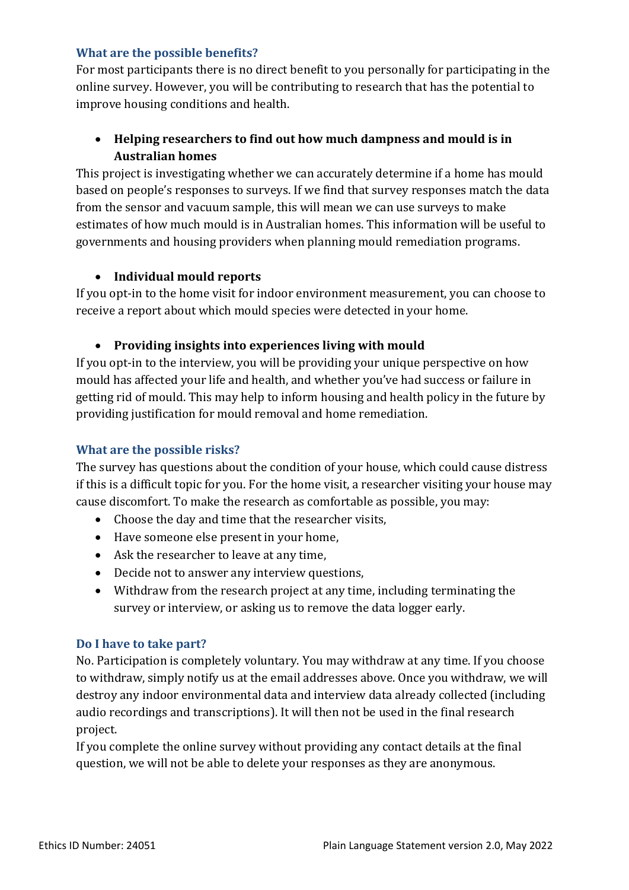#### **What are the possible benefits?**

For most participants there is no direct benefit to you personally for participating in the online survey. However, you will be contributing to research that has the potential to improve housing conditions and health.

# • **Helping researchers to find out how much dampness and mould is in Australian homes**

This project is investigating whether we can accurately determine if a home has mould based on people's responses to surveys. If we find that survey responses match the data from the sensor and vacuum sample, this will mean we can use surveys to make estimates of how much mould is in Australian homes. This information will be useful to governments and housing providers when planning mould remediation programs.

#### • **Individual mould reports**

If you opt-in to the home visit for indoor environment measurement, you can choose to receive a report about which mould species were detected in your home.

#### • **Providing insights into experiences living with mould**

If you opt-in to the interview, you will be providing your unique perspective on how mould has affected your life and health, and whether you've had success or failure in getting rid of mould. This may help to inform housing and health policy in the future by providing justification for mould removal and home remediation.

#### **What are the possible risks?**

The survey has questions about the condition of your house, which could cause distress if this is a difficult topic for you. For the home visit, a researcher visiting your house may cause discomfort. To make the research as comfortable as possible, you may:

- Choose the day and time that the researcher visits,
- Have someone else present in your home,
- Ask the researcher to leave at any time,
- Decide not to answer any interview questions,
- Withdraw from the research project at any time, including terminating the survey or interview, or asking us to remove the data logger early.

#### **Do I have to take part?**

No. Participation is completely voluntary. You may withdraw at any time. If you choose to withdraw, simply notify us at the email addresses above. Once you withdraw, we will destroy any indoor environmental data and interview data already collected (including audio recordings and transcriptions). It will then not be used in the final research project.

If you complete the online survey without providing any contact details at the final question, we will not be able to delete your responses as they are anonymous.